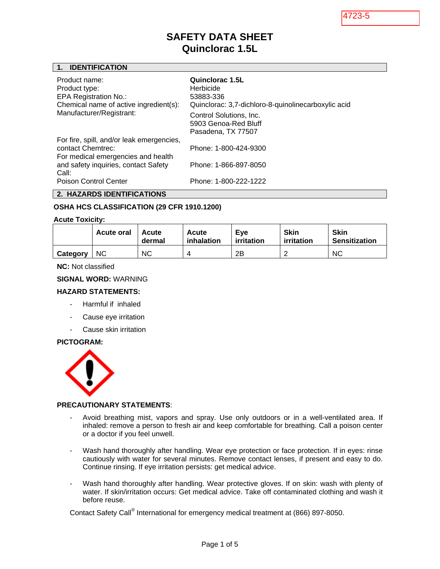4723-5

# **SAFETY DATA SHEET Quinclorac 1.5L**

## **1. IDENTIFICATION**

| Product name:<br>Product type:<br><b>EPA Registration No.:</b><br>Chemical name of active ingredient(s):<br>Manufacturer/Registrant:                                                  | Quinclorac 1.5L<br>Herbicide<br>53883-336<br>Quinclorac: 3,7-dichloro-8-quinolinecarboxylic acid<br>Control Solutions, Inc.<br>5903 Genoa-Red Bluff<br>Pasadena, TX 77507 |
|---------------------------------------------------------------------------------------------------------------------------------------------------------------------------------------|---------------------------------------------------------------------------------------------------------------------------------------------------------------------------|
| For fire, spill, and/or leak emergencies,<br>contact Chemirec:<br>For medical emergencies and health<br>and safety inquiries, contact Safety<br>Call:<br><b>Poison Control Center</b> | Phone: 1-800-424-9300<br>Phone: 1-866-897-8050<br>Phone: 1-800-222-1222                                                                                                   |

**2. HAZARDS IDENTIFICATIONS** 

## **OSHA HCS CLASSIFICATION (29 CFR 1910.1200)**

#### **Acute Toxicity:**

|          | <b>Acute oral</b> | Acute<br>dermal | Acute<br>inhalation | Eve<br>irritation | <b>Skin</b><br>irritation | <b>Skin</b><br><b>Sensitization</b> |
|----------|-------------------|-----------------|---------------------|-------------------|---------------------------|-------------------------------------|
| Category | <b>NC</b>         | <b>NC</b>       | 4                   | 2B                |                           | <b>NC</b>                           |

#### **NC:** Not classified

### **SIGNAL WORD:** WARNING

#### **HAZARD STATEMENTS:**

- Harmful if inhaled
- Cause eye irritation
- Cause skin irritation

# **PICTOGRAM:**



#### **PRECAUTIONARY STATEMENTS**:

- Avoid breathing mist, vapors and spray. Use only outdoors or in a well-ventilated area. If inhaled: remove a person to fresh air and keep comfortable for breathing. Call a poison center or a doctor if you feel unwell.
- Wash hand thoroughly after handling. Wear eye protection or face protection. If in eyes: rinse cautiously with water for several minutes. Remove contact lenses, if present and easy to do. Continue rinsing. If eye irritation persists: get medical advice.
- Wash hand thoroughly after handling. Wear protective gloves. If on skin: wash with plenty of water. If skin/irritation occurs: Get medical advice. Take off contaminated clothing and wash it before reuse.

Contact Safety Call<sup>®</sup> International for emergency medical treatment at (866) 897-8050.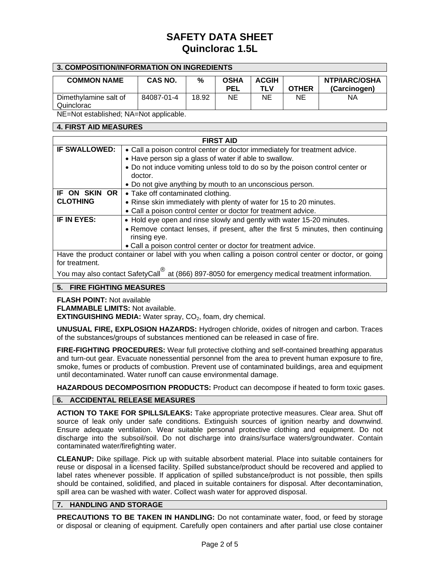## **3. COMPOSITION/INFORMATION ON INGREDIENTS**

| <b>COMMON NAME</b>    | <b>CAS NO.</b> | %     | <b>OSHA</b> | <b>ACGIH</b> |              | <b>NTP/IARC/OSHA</b> |
|-----------------------|----------------|-------|-------------|--------------|--------------|----------------------|
|                       |                |       | <b>PEL</b>  | TLV          | <b>OTHER</b> | (Carcinogen)         |
| Dimethylamine salt of | 84087-01-4     | 18.92 | NE          | ΝE           | NE           | ΝA                   |
| Quinclorac            |                |       |             |              |              |                      |

NE=Not established; NA=Not applicable.

## **4. FIRST AID MEASURES**

| <b>FIRST AID</b>        |                                                                                                                                                                                                                                                                                                                                 |  |  |  |  |  |
|-------------------------|---------------------------------------------------------------------------------------------------------------------------------------------------------------------------------------------------------------------------------------------------------------------------------------------------------------------------------|--|--|--|--|--|
| <b>IF SWALLOWED:</b>    | • Call a poison control center or doctor immediately for treatment advice.                                                                                                                                                                                                                                                      |  |  |  |  |  |
|                         | • Have person sip a glass of water if able to swallow.                                                                                                                                                                                                                                                                          |  |  |  |  |  |
|                         | • Do not induce vomiting unless told to do so by the poison control center or                                                                                                                                                                                                                                                   |  |  |  |  |  |
|                         | doctor.                                                                                                                                                                                                                                                                                                                         |  |  |  |  |  |
|                         | • Do not give anything by mouth to an unconscious person.                                                                                                                                                                                                                                                                       |  |  |  |  |  |
| <b>OR</b><br>IF ON SKIN | • Take off contaminated clothing.                                                                                                                                                                                                                                                                                               |  |  |  |  |  |
| <b>CLOTHING</b>         | • Rinse skin immediately with plenty of water for 15 to 20 minutes.                                                                                                                                                                                                                                                             |  |  |  |  |  |
|                         | • Call a poison control center or doctor for treatment advice.                                                                                                                                                                                                                                                                  |  |  |  |  |  |
| IF IN EYES:             | • Hold eye open and rinse slowly and gently with water 15-20 minutes.                                                                                                                                                                                                                                                           |  |  |  |  |  |
|                         | • Remove contact lenses, if present, after the first 5 minutes, then continuing                                                                                                                                                                                                                                                 |  |  |  |  |  |
|                         | rinsing eye.                                                                                                                                                                                                                                                                                                                    |  |  |  |  |  |
|                         | • Call a poison control center or doctor for treatment advice.                                                                                                                                                                                                                                                                  |  |  |  |  |  |
|                         | Have the product container or label with you when calling a poison control center or doctor, or going                                                                                                                                                                                                                           |  |  |  |  |  |
| for treatment.          |                                                                                                                                                                                                                                                                                                                                 |  |  |  |  |  |
|                         | $\mathcal{Y}$ , $\mathcal{Y}$ , $\mathcal{Y}$ , $\mathcal{Y}$ , $\mathcal{Y}$ , $\mathcal{Y}$ , $\mathcal{Y}$ , $\mathcal{Y}$ , $\mathcal{Y}$ , $\mathcal{Y}$ , $\mathcal{Y}$ , $\mathcal{Y}$ , $\mathcal{Y}$ , $\mathcal{Y}$ , $\mathcal{Y}$ , $\mathcal{Y}$ , $\mathcal{Y}$ , $\mathcal{Y}$ , $\mathcal{Y}$ , $\mathcal{Y}$ , |  |  |  |  |  |

You may also contact SafetyCall® at (866) 897-8050 for emergency medical treatment information.

# **5. FIRE FIGHTING MEASURES**

**FLASH POINT:** Not available

**FLAMMABLE LIMITS:** Not available.

**EXTINGUISHING MEDIA:** Water spray, CO<sub>2</sub>, foam, dry chemical.

**UNUSUAL FIRE, EXPLOSION HAZARDS:** Hydrogen chloride, oxides of nitrogen and carbon. Traces of the substances/groups of substances mentioned can be released in case of fire.

**FIRE-FIGHTING PROCEDURES:** Wear full protective clothing and self-contained breathing apparatus and turn-out gear. Evacuate nonessential personnel from the area to prevent human exposure to fire, smoke, fumes or products of combustion. Prevent use of contaminated buildings, area and equipment until decontaminated. Water runoff can cause environmental damage.

**HAZARDOUS DECOMPOSITION PRODUCTS:** Product can decompose if heated to form toxic gases.

# **6. ACCIDENTAL RELEASE MEASURES**

**ACTION TO TAKE FOR SPILLS/LEAKS:** Take appropriate protective measures. Clear area. Shut off source of leak only under safe conditions. Extinguish sources of ignition nearby and downwind. Ensure adequate ventilation. Wear suitable personal protective clothing and equipment. Do not discharge into the subsoil/soil. Do not discharge into drains/surface waters/groundwater. Contain contaminated water/firefighting water.

**CLEANUP:** Dike spillage. Pick up with suitable absorbent material. Place into suitable containers for reuse or disposal in a licensed facility. Spilled substance/product should be recovered and applied to label rates whenever possible. If application of spilled substance/product is not possible, then spills should be contained, solidified, and placed in suitable containers for disposal. After decontamination, spill area can be washed with water. Collect wash water for approved disposal.

### **7. HANDLING AND STORAGE**

**PRECAUTIONS TO BE TAKEN IN HANDLING:** Do not contaminate water, food, or feed by storage or disposal or cleaning of equipment. Carefully open containers and after partial use close container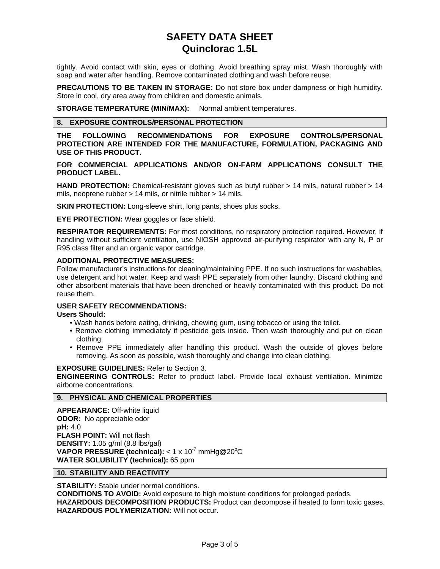tightly. Avoid contact with skin, eyes or clothing. Avoid breathing spray mist. Wash thoroughly with soap and water after handling. Remove contaminated clothing and wash before reuse.

**PRECAUTIONS TO BE TAKEN IN STORAGE:** Do not store box under dampness or high humidity. Store in cool, dry area away from children and domestic animals.

**STORAGE TEMPERATURE (MIN/MAX):** Normal ambient temperatures.

# **8. EXPOSURE CONTROLS/PERSONAL PROTECTION**

**THE FOLLOWING RECOMMENDATIONS FOR EXPOSURE CONTROLS/PERSONAL PROTECTION ARE INTENDED FOR THE MANUFACTURE, FORMULATION, PACKAGING AND USE OF THIS PRODUCT.**

**FOR COMMERCIAL APPLICATIONS AND/OR ON-FARM APPLICATIONS CONSULT THE PRODUCT LABEL.**

**HAND PROTECTION:** Chemical-resistant gloves such as butyl rubber > 14 mils, natural rubber > 14 mils, neoprene rubber > 14 mils, or nitrile rubber > 14 mils.

**SKIN PROTECTION:** Long-sleeve shirt, long pants, shoes plus socks.

**EYE PROTECTION:** Wear goggles or face shield.

**RESPIRATOR REQUIREMENTS:** For most conditions, no respiratory protection required. However, if handling without sufficient ventilation, use NIOSH approved air-purifying respirator with any N, P or R95 class filter and an organic vapor cartridge.

### **ADDITIONAL PROTECTIVE MEASURES:**

Follow manufacturer's instructions for cleaning/maintaining PPE. If no such instructions for washables, use detergent and hot water. Keep and wash PPE separately from other laundry. Discard clothing and other absorbent materials that have been drenched or heavily contaminated with this product. Do not reuse them.

### **USER SAFETY RECOMMENDATIONS:**

**Users Should:**

- Wash hands before eating, drinking, chewing gum, using tobacco or using the toilet.
- Remove clothing immediately if pesticide gets inside. Then wash thoroughly and put on clean clothing.
- Remove PPE immediately after handling this product. Wash the outside of gloves before removing. As soon as possible, wash thoroughly and change into clean clothing.

**EXPOSURE GUIDELINES:** Refer to Section 3.

**ENGINEERING CONTROLS:** Refer to product label. Provide local exhaust ventilation. Minimize airborne concentrations.

#### **9. PHYSICAL AND CHEMICAL PROPERTIES**

**APPEARANCE:** Off-white liquid **ODOR:** No appreciable odor **pH:** 4.0 **FLASH POINT:** Will not flash **DENSITY:** 1.05 g/ml (8.8 lbs/gal) VAPOR PRESSURE (technical): < 1 x 10<sup>-7</sup> mmHg@20°C **WATER SOLUBILITY (technical):** 65 ppm

#### **10. STABILITY AND REACTIVITY**

**STABILITY:** Stable under normal conditions.

**CONDITIONS TO AVOID:** Avoid exposure to high moisture conditions for prolonged periods.

**HAZARDOUS DECOMPOSITION PRODUCTS:** Product can decompose if heated to form toxic gases. **HAZARDOUS POLYMERIZATION:** Will not occur.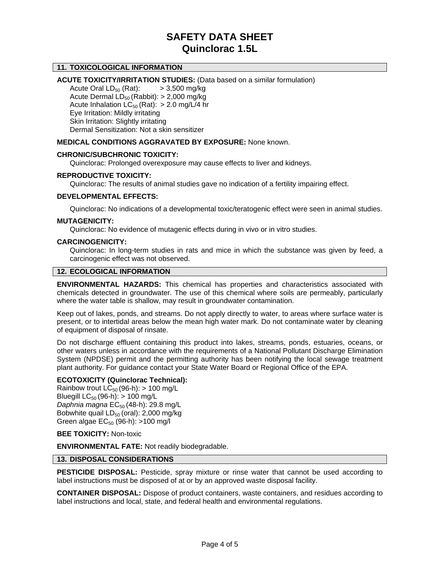## **11. TOXICOLOGICAL INFORMATION**

#### **ACUTE TOXICITY/IRRITATION STUDIES:** (Data based on a similar formulation)

Acute Oral  $LD_{50}$  (Rat):  $> 3,500$  mg/kg Acute Dermal  $LD_{50}$  (Rabbit):  $> 2,000$  mg/kg Acute Inhalation  $LC_{50}$  (Rat): > 2.0 mg/L/4 hr Eye Irritation: Mildly irritating Skin Irritation: Slightly irritating Dermal Sensitization: Not a skin sensitizer

## **MEDICAL CONDITIONS AGGRAVATED BY EXPOSURE:** None known.

#### **CHRONIC/SUBCHRONIC TOXICITY:**

Quinclorac: Prolonged overexposure may cause effects to liver and kidneys.

#### **REPRODUCTIVE TOXICITY:**

Quinclorac: The results of animal studies gave no indication of a fertility impairing effect.

#### **DEVELOPMENTAL EFFECTS:**

Quinclorac: No indications of a developmental toxic/teratogenic effect were seen in animal studies.

#### **MUTAGENICITY:**

Quinclorac: No evidence of mutagenic effects during in vivo or in vitro studies.

#### **CARCINOGENICITY:**

Quinclorac: In long-term studies in rats and mice in which the substance was given by feed, a carcinogenic effect was not observed.

#### **12. ECOLOGICAL INFORMATION**

**ENVIRONMENTAL HAZARDS:** This chemical has properties and characteristics associated with chemicals detected in groundwater. The use of this chemical where soils are permeably, particularly where the water table is shallow, may result in groundwater contamination.

Keep out of lakes, ponds, and streams. Do not apply directly to water, to areas where surface water is present, or to intertidal areas below the mean high water mark. Do not contaminate water by cleaning of equipment of disposal of rinsate.

Do not discharge effluent containing this product into lakes, streams, ponds, estuaries, oceans, or other waters unless in accordance with the requirements of a National Pollutant Discharge Elimination System (NPDSE) permit and the permitting authority has been notifying the local sewage treatment plant authority. For guidance contact your State Water Board or Regional Office of the EPA.

### **ECOTOXICITY (Quinclorac Technical):**

Rainbow trout  $LC_{50}$  (96-h):  $> 100$  mg/L Bluegill  $LC_{50}$  (96-h):  $> 100$  mg/L *Daphnia magna* EC<sub>50</sub> (48-h): 29.8 mg/L Bobwhite quail  $LD_{50}$  (oral): 2,000 mg/kg Green algae  $EC_{50}$  (96-h): >100 mg/l

#### **BEE TOXICITY:** Non-toxic

**ENVIRONMENTAL FATE:** Not readily biodegradable.

#### **13. DISPOSAL CONSIDERATIONS**

**PESTICIDE DISPOSAL:** Pesticide, spray mixture or rinse water that cannot be used according to label instructions must be disposed of at or by an approved waste disposal facility.

**CONTAINER DISPOSAL:** Dispose of product containers, waste containers, and residues according to label instructions and local, state, and federal health and environmental regulations.